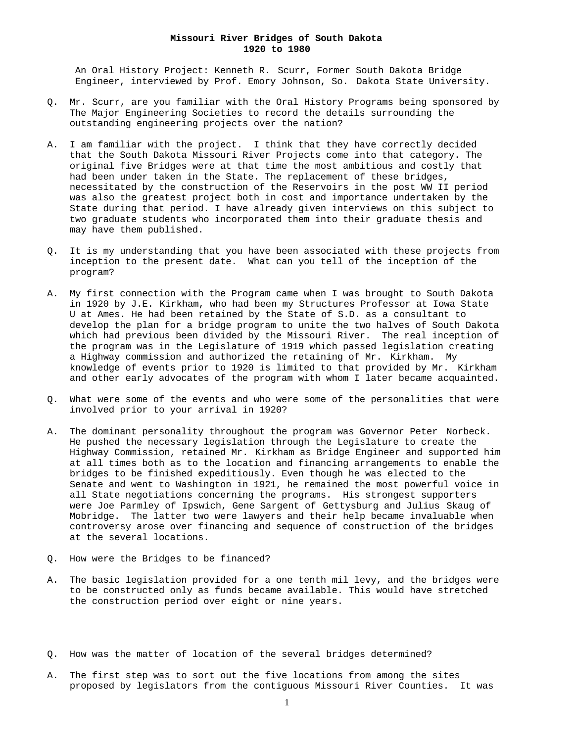## **Missouri River Bridges of South Dakota 1920 to 1980**

 An Oral History Project: Kenneth R. Scurr, Former South Dakota Bridge Engineer, interviewed by Prof. Emory Johnson, So. Dakota State University.

- Q. Mr. Scurr, are you familiar with the Oral History Programs being sponsored by The Major Engineering Societies to record the details surrounding the outstanding engineering projects over the nation?
- A. I am familiar with the project. I think that they have correctly decided that the South Dakota Missouri River Projects come into that category. The original five Bridges were at that time the most ambitious and costly that had been under taken in the State. The replacement of these bridges, necessitated by the construction of the Reservoirs in the post WW II period was also the greatest project both in cost and importance undertaken by the State during that period. I have already given interviews on this subject to two graduate students who incorporated them into their graduate thesis and may have them published.
- Q. It is my understanding that you have been associated with these projects from inception to the present date. What can you tell of the inception of the program?
- A. My first connection with the Program came when I was brought to South Dakota in 1920 by J.E. Kirkham, who had been my Structures Professor at Iowa State U at Ames. He had been retained by the State of S.D. as a consultant to develop the plan for a bridge program to unite the two halves of South Dakota which had previous been divided by the Missouri River. The real inception of the program was in the Legislature of 1919 which passed legislation creating a Highway commission and authorized the retaining of Mr. Kirkham. My knowledge of events prior to 1920 is limited to that provided by Mr. Kirkham and other early advocates of the program with whom I later became acquainted.
- Q. What were some of the events and who were some of the personalities that were involved prior to your arrival in 1920?
- A. The dominant personality throughout the program was Governor Peter Norbeck. He pushed the necessary legislation through the Legislature to create the Highway Commission, retained Mr. Kirkham as Bridge Engineer and supported him at all times both as to the location and financing arrangements to enable the bridges to be finished expeditiously. Even though he was elected to the Senate and went to Washington in 1921, he remained the most powerful voice in all State negotiations concerning the programs. His strongest supporters were Joe Parmley of Ipswich, Gene Sargent of Gettysburg and Julius Skaug of Mobridge. The latter two were lawyers and their help became invaluable when controversy arose over financing and sequence of construction of the bridges at the several locations.
- Q. How were the Bridges to be financed?
- A. The basic legislation provided for a one tenth mil levy, and the bridges were to be constructed only as funds became available. This would have stretched the construction period over eight or nine years.
- Q. How was the matter of location of the several bridges determined?
- A. The first step was to sort out the five locations from among the sites proposed by legislators from the contiguous Missouri River Counties. It was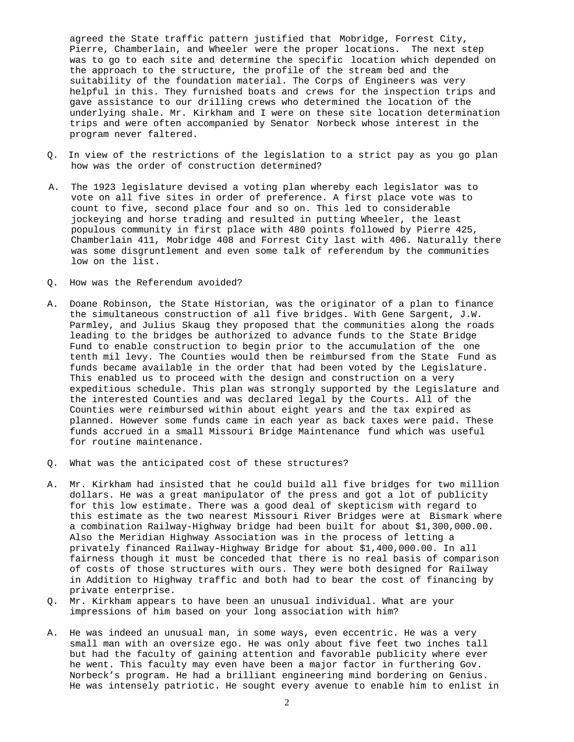agreed the State traffic pattern justified that Mobridge, Forrest City, Pierre, Chamberlain, and Wheeler were the proper locations. The next step was to go to each site and determine the specific location which depended on the approach to the structure, the profile of the stream bed and the suitability of the foundation material. The Corps of Engineers was very helpful in this. They furnished boats and crews for the inspection trips and gave assistance to our drilling crews who determined the location of the underlying shale. Mr. Kirkham and I were on these site location determination trips and were often accompanied by Senator Norbeck whose interest in the program never faltered.

- Q. In view of the restrictions of the legislation to a strict pay as you go plan how was the order of construction determined?
- A. The 1923 legislature devised a voting plan whereby each legislator was to vote on all five sites in order of preference. A first place vote was to count to five, second place four and so on. This led to considerable jockeying and horse trading and resulted in putting Wheeler, the least populous community in first place with 480 points followed by Pierre 425, Chamberlain 411, Mobridge 408 and Forrest City last with 406. Naturally there was some disgruntlement and even some talk of referendum by the communities low on the list.
- Q. How was the Referendum avoided?
- A. Doane Robinson, the State Historian, was the originator of a plan to finance the simultaneous construction of all five bridges. With Gene Sargent, J.W. Parmley, and Julius Skaug they proposed that the communities along the roads leading to the bridges be authorized to advance funds to the State Bridge Fund to enable construction to begin prior to the accumulation of the one tenth mil levy. The Counties would then be reimbursed from the State Fund as funds became available in the order that had been voted by the Legislature. This enabled us to proceed with the design and construction on a very expeditious schedule. This plan was strongly supported by the Legislature and the interested Counties and was declared legal by the Courts. All of the Counties were reimbursed within about eight years and the tax expired as planned. However some funds came in each year as back taxes were paid. These funds accrued in a small Missouri Bridge Maintenance fund which was useful for routine maintenance.
- Q. What was the anticipated cost of these structures?
- A. Mr. Kirkham had insisted that he could build all five bridges for two million dollars. He was a great manipulator of the press and got a lot of publicity for this low estimate. There was a good deal of skepticism with regard to this estimate as the two nearest Missouri River Bridges were at Bismark where a combination Railway-Highway bridge had been built for about \$1,300,000.00. Also the Meridian Highway Association was in the process of letting a privately financed Railway-Highway Bridge for about \$1,400,000.00. In all fairness though it must be conceded that there is no real basis of comparison of costs of those structures with ours. They were both designed for Railway in Addition to Highway traffic and both had to bear the cost of financing by private enterprise.
- Q. Mr. Kirkham appears to have been an unusual individual. What are your impressions of him based on your long association with him?
- A. He was indeed an unusual man, in some ways, even eccentric. He was a very small man with an oversize ego. He was only about five feet two inches tall but had the faculty of gaining attention and favorable publicity where ever he went. This faculty may even have been a major factor in furthering Gov. Norbeck's program. He had a brilliant engineering mind bordering on Genius. He was intensely patriotic. He sought every avenue to enable him to enlist in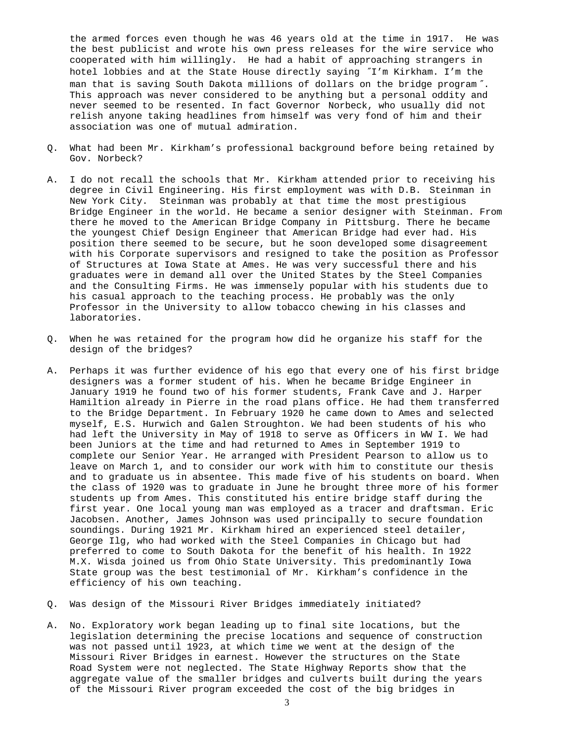the armed forces even though he was 46 years old at the time in 1917. He was the best publicist and wrote his own press releases for the wire service who cooperated with him willingly. He had a habit of approaching strangers in hotel lobbies and at the State House directly saying ″I'm Kirkham. I'm the man that is saving South Dakota millions of dollars on the bridge program ″. This approach was never considered to be anything but a personal oddity and never seemed to be resented. In fact Governor Norbeck, who usually did not relish anyone taking headlines from himself was very fond of him and their association was one of mutual admiration.

- Q. What had been Mr. Kirkham's professional background before being retained by Gov. Norbeck?
- A. I do not recall the schools that Mr. Kirkham attended prior to receiving his degree in Civil Engineering. His first employment was with D.B. Steinman in New York City. Steinman was probably at that time the most prestigious Bridge Engineer in the world. He became a senior designer with Steinman. From there he moved to the American Bridge Company in Pittsburg. There he became the youngest Chief Design Engineer that American Bridge had ever had. His position there seemed to be secure, but he soon developed some disagreement with his Corporate supervisors and resigned to take the position as Professor of Structures at Iowa State at Ames. He was very successful there and his graduates were in demand all over the United States by the Steel Companies and the Consulting Firms. He was immensely popular with his students due to his casual approach to the teaching process. He probably was the only Professor in the University to allow tobacco chewing in his classes and laboratories.
- Q. When he was retained for the program how did he organize his staff for the design of the bridges?
- A. Perhaps it was further evidence of his ego that every one of his first bridge designers was a former student of his. When he became Bridge Engineer in January 1919 he found two of his former students, Frank Cave and J. Harper Hamiltion already in Pierre in the road plans office. He had them transferred to the Bridge Department. In February 1920 he came down to Ames and selected myself, E.S. Hurwich and Galen Stroughton. We had been students of his who had left the University in May of 1918 to serve as Officers in WW I. We had been Juniors at the time and had returned to Ames in September 1919 to complete our Senior Year. He arranged with President Pearson to allow us to leave on March 1, and to consider our work with him to constitute our thesis and to graduate us in absentee. This made five of his students on board. When the class of 1920 was to graduate in June he brought three more of his former students up from Ames. This constituted his entire bridge staff during the first year. One local young man was employed as a tracer and draftsman. Eric Jacobsen. Another, James Johnson was used principally to secure foundation soundings. During 1921 Mr. Kirkham hired an experienced steel detailer, George Ilg, who had worked with the Steel Companies in Chicago but had preferred to come to South Dakota for the benefit of his health. In 1922 M.X. Wisda joined us from Ohio State University. This predominantly Iowa State group was the best testimonial of Mr. Kirkham's confidence in the efficiency of his own teaching.
- Q. Was design of the Missouri River Bridges immediately initiated?
- A. No. Exploratory work began leading up to final site locations, but the legislation determining the precise locations and sequence of construction was not passed until 1923, at which time we went at the design of the Missouri River Bridges in earnest. However the structures on the State Road System were not neglected. The State Highway Reports show that the aggregate value of the smaller bridges and culverts built during the years of the Missouri River program exceeded the cost of the big bridges in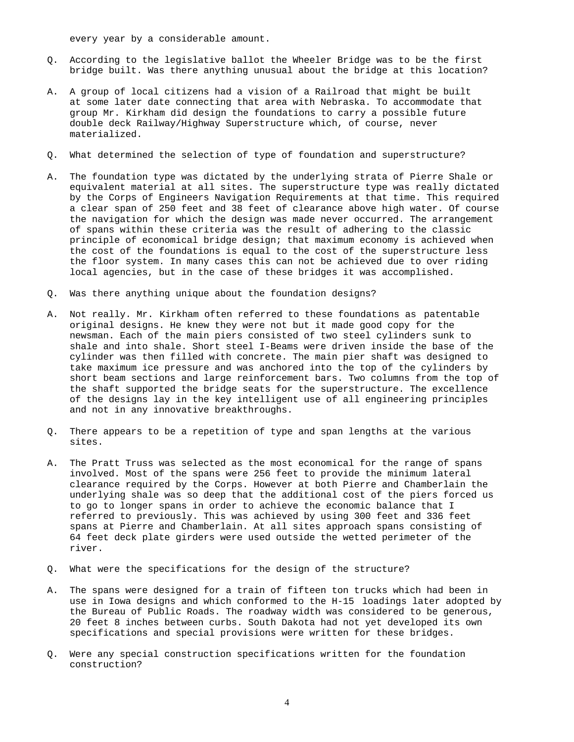every year by a considerable amount.

- Q. According to the legislative ballot the Wheeler Bridge was to be the first bridge built. Was there anything unusual about the bridge at this location?
- A. A group of local citizens had a vision of a Railroad that might be built at some later date connecting that area with Nebraska. To accommodate that group Mr. Kirkham did design the foundations to carry a possible future double deck Railway/Highway Superstructure which, of course, never materialized.
- Q. What determined the selection of type of foundation and superstructure?
- A. The foundation type was dictated by the underlying strata of Pierre Shale or equivalent material at all sites. The superstructure type was really dictated by the Corps of Engineers Navigation Requirements at that time. This required a clear span of 250 feet and 38 feet of clearance above high water. Of course the navigation for which the design was made never occurred. The arrangement of spans within these criteria was the result of adhering to the classic principle of economical bridge design; that maximum economy is achieved when the cost of the foundations is equal to the cost of the superstructure less the floor system. In many cases this can not be achieved due to over riding local agencies, but in the case of these bridges it was accomplished.
- Q. Was there anything unique about the foundation designs?
- A. Not really. Mr. Kirkham often referred to these foundations as patentable original designs. He knew they were not but it made good copy for the newsman. Each of the main piers consisted of two steel cylinders sunk to shale and into shale. Short steel I-Beams were driven inside the base of the cylinder was then filled with concrete. The main pier shaft was designed to take maximum ice pressure and was anchored into the top of the cylinders by short beam sections and large reinforcement bars. Two columns from the top of the shaft supported the bridge seats for the superstructure. The excellence of the designs lay in the key intelligent use of all engineering principles and not in any innovative breakthroughs.
- Q. There appears to be a repetition of type and span lengths at the various sites.
- A. The Pratt Truss was selected as the most economical for the range of spans involved. Most of the spans were 256 feet to provide the minimum lateral clearance required by the Corps. However at both Pierre and Chamberlain the underlying shale was so deep that the additional cost of the piers forced us to go to longer spans in order to achieve the economic balance that I referred to previously. This was achieved by using 300 feet and 336 feet spans at Pierre and Chamberlain. At all sites approach spans consisting of 64 feet deck plate girders were used outside the wetted perimeter of the river.
- Q. What were the specifications for the design of the structure?
- A. The spans were designed for a train of fifteen ton trucks which had been in use in Iowa designs and which conformed to the H-15 loadings later adopted by the Bureau of Public Roads. The roadway width was considered to be generous, 20 feet 8 inches between curbs. South Dakota had not yet developed its own specifications and special provisions were written for these bridges.
- Q. Were any special construction specifications written for the foundation construction?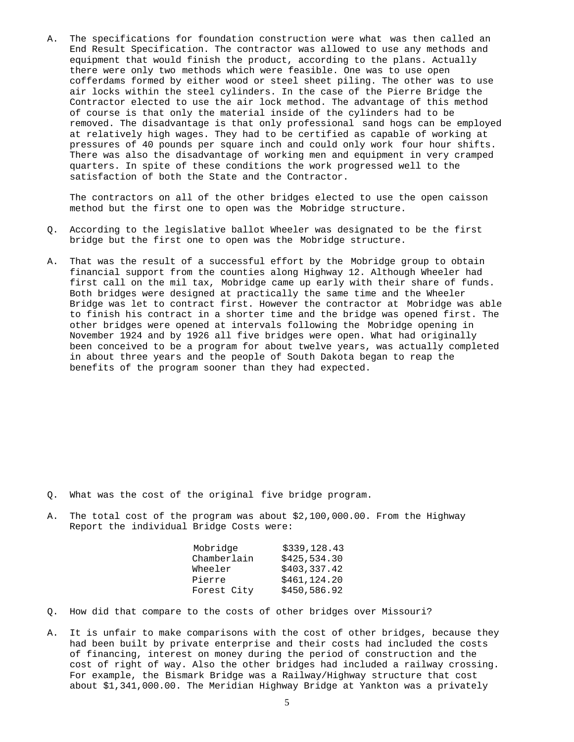A. The specifications for foundation construction were what was then called an End Result Specification. The contractor was allowed to use any methods and equipment that would finish the product, according to the plans. Actually there were only two methods which were feasible. One was to use open cofferdams formed by either wood or steel sheet piling. The other was to use air locks within the steel cylinders. In the case of the Pierre Bridge the Contractor elected to use the air lock method. The advantage of this method of course is that only the material inside of the cylinders had to be removed. The disadvantage is that only professional sand hogs can be employed at relatively high wages. They had to be certified as capable of working at pressures of 40 pounds per square inch and could only work four hour shifts. There was also the disadvantage of working men and equipment in very cramped quarters. In spite of these conditions the work progressed well to the satisfaction of both the State and the Contractor.

The contractors on all of the other bridges elected to use the open caisson method but the first one to open was the Mobridge structure.

- Q. According to the legislative ballot Wheeler was designated to be the first bridge but the first one to open was the Mobridge structure.
- A. That was the result of a successful effort by the Mobridge group to obtain financial support from the counties along Highway 12. Although Wheeler had first call on the mil tax, Mobridge came up early with their share of funds. Both bridges were designed at practically the same time and the Wheeler Bridge was let to contract first. However the contractor at Mobridge was able to finish his contract in a shorter time and the bridge was opened first. The other bridges were opened at intervals following the Mobridge opening in November 1924 and by 1926 all five bridges were open. What had originally been conceived to be a program for about twelve years, was actually completed in about three years and the people of South Dakota began to reap the benefits of the program sooner than they had expected.

- Q. What was the cost of the original five bridge program.
- A. The total cost of the program was about \$2,100,000.00. From the Highway Report the individual Bridge Costs were:

|  | Mobridge    | \$339,128.43 |
|--|-------------|--------------|
|  | Chamberlain | \$425,534.30 |
|  | Wheeler     | \$403,337.42 |
|  | Pierre      | \$461,124.20 |
|  | Forest City | \$450,586.92 |

- Q. How did that compare to the costs of other bridges over Missouri?
- A. It is unfair to make comparisons with the cost of other bridges, because they had been built by private enterprise and their costs had included the costs of financing, interest on money during the period of construction and the cost of right of way. Also the other bridges had included a railway crossing. For example, the Bismark Bridge was a Railway/Highway structure that cost about \$1,341,000.00. The Meridian Highway Bridge at Yankton was a privately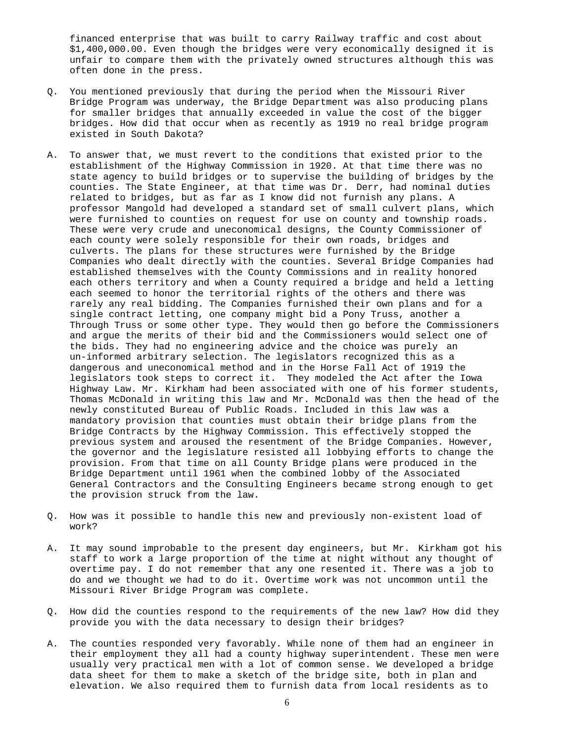financed enterprise that was built to carry Railway traffic and cost about \$1,400,000.00. Even though the bridges were very economically designed it is unfair to compare them with the privately owned structures although this was often done in the press.

- Q. You mentioned previously that during the period when the Missouri River Bridge Program was underway, the Bridge Department was also producing plans for smaller bridges that annually exceeded in value the cost of the bigger bridges. How did that occur when as recently as 1919 no real bridge program existed in South Dakota?
- A. To answer that, we must revert to the conditions that existed prior to the establishment of the Highway Commission in 1920. At that time there was no state agency to build bridges or to supervise the building of bridges by the counties. The State Engineer, at that time was Dr. Derr, had nominal duties related to bridges, but as far as I know did not furnish any plans. A professor Mangold had developed a standard set of small culvert plans, which were furnished to counties on request for use on county and township roads. These were very crude and uneconomical designs, the County Commissioner of each county were solely responsible for their own roads, bridges and culverts. The plans for these structures were furnished by the Bridge Companies who dealt directly with the counties. Several Bridge Companies had established themselves with the County Commissions and in reality honored each others territory and when a County required a bridge and held a letting each seemed to honor the territorial rights of the others and there was rarely any real bidding. The Companies furnished their own plans and for a single contract letting, one company might bid a Pony Truss, another a Through Truss or some other type. They would then go before the Commissioners and argue the merits of their bid and the Commissioners would select one of the bids. They had no engineering advice and the choice was purely an un-informed arbitrary selection. The legislators recognized this as a dangerous and uneconomical method and in the Horse Fall Act of 1919 the legislators took steps to correct it. They modeled the Act after the Iowa Highway Law. Mr. Kirkham had been associated with one of his former students, Thomas McDonald in writing this law and Mr. McDonald was then the head of the newly constituted Bureau of Public Roads. Included in this law was a mandatory provision that counties must obtain their bridge plans from the Bridge Contracts by the Highway Commission. This effectively stopped the previous system and aroused the resentment of the Bridge Companies. However, the governor and the legislature resisted all lobbying efforts to change the provision. From that time on all County Bridge plans were produced in the Bridge Department until 1961 when the combined lobby of the Associated General Contractors and the Consulting Engineers became strong enough to get the provision struck from the law.
- Q. How was it possible to handle this new and previously non-existent load of work?
- A. It may sound improbable to the present day engineers, but Mr. Kirkham got his staff to work a large proportion of the time at night without any thought of overtime pay. I do not remember that any one resented it. There was a job to do and we thought we had to do it. Overtime work was not uncommon until the Missouri River Bridge Program was complete.
- Q. How did the counties respond to the requirements of the new law? How did they provide you with the data necessary to design their bridges?
- A. The counties responded very favorably. While none of them had an engineer in their employment they all had a county highway superintendent. These men were usually very practical men with a lot of common sense. We developed a bridge data sheet for them to make a sketch of the bridge site, both in plan and elevation. We also required them to furnish data from local residents as to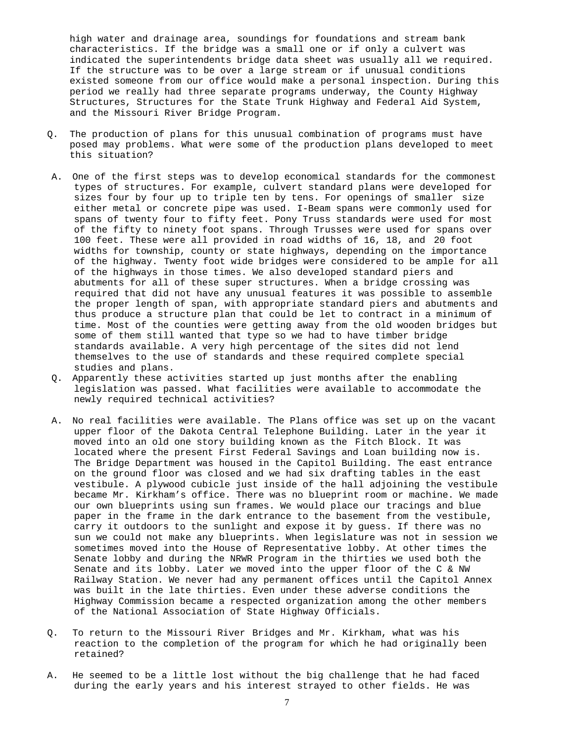high water and drainage area, soundings for foundations and stream bank characteristics. If the bridge was a small one or if only a culvert was indicated the superintendents bridge data sheet was usually all we required. If the structure was to be over a large stream or if unusual conditions existed someone from our office would make a personal inspection. During this period we really had three separate programs underway, the County Highway Structures, Structures for the State Trunk Highway and Federal Aid System, and the Missouri River Bridge Program.

- Q. The production of plans for this unusual combination of programs must have posed may problems. What were some of the production plans developed to meet this situation?
- A. One of the first steps was to develop economical standards for the commonest types of structures. For example, culvert standard plans were developed for sizes four by four up to triple ten by tens. For openings of smaller size either metal or concrete pipe was used. I-Beam spans were commonly used for spans of twenty four to fifty feet. Pony Truss standards were used for most of the fifty to ninety foot spans. Through Trusses were used for spans over 100 feet. These were all provided in road widths of 16, 18, and 20 foot widths for township, county or state highways, depending on the importance of the highway. Twenty foot wide bridges were considered to be ample for all of the highways in those times. We also developed standard piers and abutments for all of these super structures. When a bridge crossing was required that did not have any unusual features it was possible to assemble the proper length of span, with appropriate standard piers and abutments and thus produce a structure plan that could be let to contract in a minimum of time. Most of the counties were getting away from the old wooden bridges but some of them still wanted that type so we had to have timber bridge standards available. A very high percentage of the sites did not lend themselves to the use of standards and these required complete special studies and plans.
- Q. Apparently these activities started up just months after the enabling legislation was passed. What facilities were available to accommodate the newly required technical activities?
- A. No real facilities were available. The Plans office was set up on the vacant upper floor of the Dakota Central Telephone Building. Later in the year it moved into an old one story building known as the Fitch Block. It was located where the present First Federal Savings and Loan building now is. The Bridge Department was housed in the Capitol Building. The east entrance on the ground floor was closed and we had six drafting tables in the east vestibule. A plywood cubicle just inside of the hall adjoining the vestibule became Mr. Kirkham's office. There was no blueprint room or machine. We made our own blueprints using sun frames. We would place our tracings and blue paper in the frame in the dark entrance to the basement from the vestibule, carry it outdoors to the sunlight and expose it by guess. If there was no sun we could not make any blueprints. When legislature was not in session we sometimes moved into the House of Representative lobby. At other times the Senate lobby and during the NRWR Program in the thirties we used both the Senate and its lobby. Later we moved into the upper floor of the C & NW Railway Station. We never had any permanent offices until the Capitol Annex was built in the late thirties. Even under these adverse conditions the Highway Commission became a respected organization among the other members of the National Association of State Highway Officials.
- Q. To return to the Missouri River Bridges and Mr. Kirkham, what was his reaction to the completion of the program for which he had originally been retained?
- A. He seemed to be a little lost without the big challenge that he had faced during the early years and his interest strayed to other fields. He was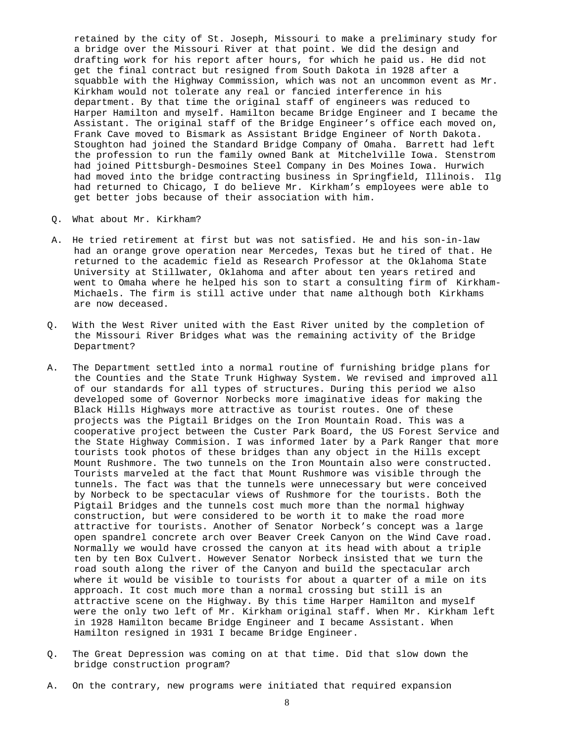retained by the city of St. Joseph, Missouri to make a preliminary study for a bridge over the Missouri River at that point. We did the design and drafting work for his report after hours, for which he paid us. He did not get the final contract but resigned from South Dakota in 1928 after a squabble with the Highway Commission, which was not an uncommon event as Mr. Kirkham would not tolerate any real or fancied interference in his department. By that time the original staff of engineers was reduced to Harper Hamilton and myself. Hamilton became Bridge Engineer and I became the Assistant. The original staff of the Bridge Engineer's office each moved on, Frank Cave moved to Bismark as Assistant Bridge Engineer of North Dakota. Stoughton had joined the Standard Bridge Company of Omaha. Barrett had left the profession to run the family owned Bank at Mitchelville Iowa. Stenstrom had joined Pittsburgh-Desmoines Steel Company in Des Moines Iowa. Hurwich had moved into the bridge contracting business in Springfield, Illinois. Ilg had returned to Chicago, I do believe Mr. Kirkham's employees were able to get better jobs because of their association with him.

- Q. What about Mr. Kirkham?
- A. He tried retirement at first but was not satisfied. He and his son-in-law had an orange grove operation near Mercedes, Texas but he tired of that. He returned to the academic field as Research Professor at the Oklahoma State University at Stillwater, Oklahoma and after about ten years retired and went to Omaha where he helped his son to start a consulting firm of Kirkham-Michaels. The firm is still active under that name although both Kirkhams are now deceased.
- Q. With the West River united with the East River united by the completion of the Missouri River Bridges what was the remaining activity of the Bridge Department?
- A. The Department settled into a normal routine of furnishing bridge plans for the Counties and the State Trunk Highway System. We revised and improved all of our standards for all types of structures. During this period we also developed some of Governor Norbecks more imaginative ideas for making the Black Hills Highways more attractive as tourist routes. One of these projects was the Pigtail Bridges on the Iron Mountain Road. This was a cooperative project between the Custer Park Board, the US Forest Service and the State Highway Commision. I was informed later by a Park Ranger that more tourists took photos of these bridges than any object in the Hills except Mount Rushmore. The two tunnels on the Iron Mountain also were constructed. Tourists marveled at the fact that Mount Rushmore was visible through the tunnels. The fact was that the tunnels were unnecessary but were conceived by Norbeck to be spectacular views of Rushmore for the tourists. Both the Pigtail Bridges and the tunnels cost much more than the normal highway construction, but were considered to be worth it to make the road more attractive for tourists. Another of Senator Norbeck's concept was a large open spandrel concrete arch over Beaver Creek Canyon on the Wind Cave road. Normally we would have crossed the canyon at its head with about a triple ten by ten Box Culvert. However Senator Norbeck insisted that we turn the road south along the river of the Canyon and build the spectacular arch where it would be visible to tourists for about a quarter of a mile on its approach. It cost much more than a normal crossing but still is an attractive scene on the Highway. By this time Harper Hamilton and myself were the only two left of Mr. Kirkham original staff. When Mr. Kirkham left in 1928 Hamilton became Bridge Engineer and I became Assistant. When Hamilton resigned in 1931 I became Bridge Engineer.
- Q. The Great Depression was coming on at that time. Did that slow down the bridge construction program?
- A. On the contrary, new programs were initiated that required expansion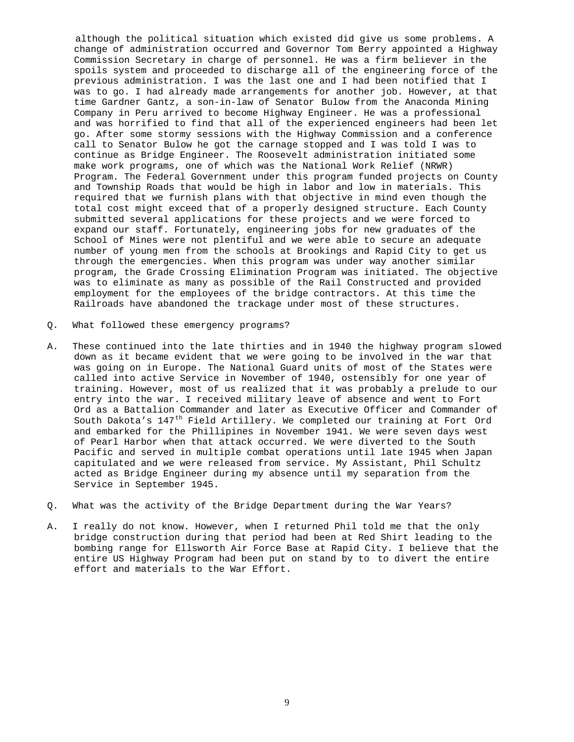although the political situation which existed did give us some problems. A change of administration occurred and Governor Tom Berry appointed a Highway Commission Secretary in charge of personnel. He was a firm believer in the spoils system and proceeded to discharge all of the engineering force of the previous administration. I was the last one and I had been notified that I was to go. I had already made arrangements for another job. However, at that time Gardner Gantz, a son-in-law of Senator Bulow from the Anaconda Mining Company in Peru arrived to become Highway Engineer. He was a professional and was horrified to find that all of the experienced engineers had been let go. After some stormy sessions with the Highway Commission and a conference call to Senator Bulow he got the carnage stopped and I was told I was to continue as Bridge Engineer. The Roosevelt administration initiated some make work programs, one of which was the National Work Relief (NRWR) Program. The Federal Government under this program funded projects on County and Township Roads that would be high in labor and low in materials. This required that we furnish plans with that objective in mind even though the total cost might exceed that of a properly designed structure. Each County submitted several applications for these projects and we were forced to expand our staff. Fortunately, engineering jobs for new graduates of the School of Mines were not plentiful and we were able to secure an adequate number of young men from the schools at Brookings and Rapid City to get us through the emergencies. When this program was under way another similar program, the Grade Crossing Elimination Program was initiated. The objective was to eliminate as many as possible of the Rail Constructed and provided employment for the employees of the bridge contractors. At this time the Railroads have abandoned the trackage under most of these structures.

- Q. What followed these emergency programs?
- A. These continued into the late thirties and in 1940 the highway program slowed down as it became evident that we were going to be involved in the war that was going on in Europe. The National Guard units of most of the States were called into active Service in November of 1940, ostensibly for one year of training. However, most of us realized that it was probably a prelude to our entry into the war. I received military leave of absence and went to Fort Ord as a Battalion Commander and later as Executive Officer and Commander of South Dakota's  $147<sup>th</sup>$  Field Artillery. We completed our training at Fort Ord and embarked for the Phillipines in November 1941. We were seven days west of Pearl Harbor when that attack occurred. We were diverted to the South Pacific and served in multiple combat operations until late 1945 when Japan capitulated and we were released from service. My Assistant, Phil Schultz acted as Bridge Engineer during my absence until my separation from the Service in September 1945.
- Q. What was the activity of the Bridge Department during the War Years?
- A. I really do not know. However, when I returned Phil told me that the only bridge construction during that period had been at Red Shirt leading to the bombing range for Ellsworth Air Force Base at Rapid City. I believe that the entire US Highway Program had been put on stand by to to divert the entire effort and materials to the War Effort.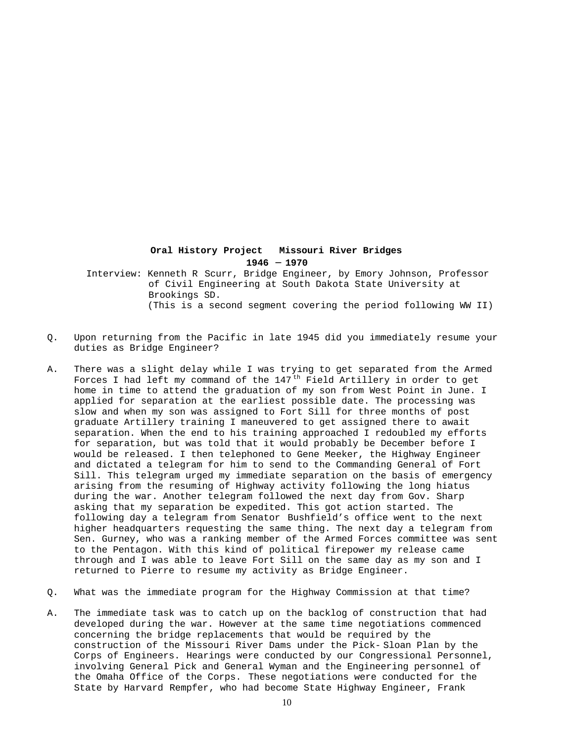## **Oral History Project Missouri River Bridges 1946 - 1970**

 Interview: Kenneth R Scurr, Bridge Engineer, by Emory Johnson, Professor of Civil Engineering at South Dakota State University at Brookings SD. (This is a second segment covering the period following WW II)

- Q. Upon returning from the Pacific in late 1945 did you immediately resume your duties as Bridge Engineer?
- A. There was a slight delay while I was trying to get separated from the Armed Forces I had left my command of the  $147<sup>th</sup>$  Field Artillery in order to get home in time to attend the graduation of my son from West Point in June. I applied for separation at the earliest possible date. The processing was slow and when my son was assigned to Fort Sill for three months of post graduate Artillery training I maneuvered to get assigned there to await separation. When the end to his training approached I redoubled my efforts for separation, but was told that it would probably be December before I would be released. I then telephoned to Gene Meeker, the Highway Engineer and dictated a telegram for him to send to the Commanding General of Fort Sill. This telegram urged my immediate separation on the basis of emergency arising from the resuming of Highway activity following the long hiatus during the war. Another telegram followed the next day from Gov. Sharp asking that my separation be expedited. This got action started. The following day a telegram from Senator Bushfield's office went to the next higher headquarters requesting the same thing. The next day a telegram from Sen. Gurney, who was a ranking member of the Armed Forces committee was sent to the Pentagon. With this kind of political firepower my release came through and I was able to leave Fort Sill on the same day as my son and I returned to Pierre to resume my activity as Bridge Engineer.
- Q. What was the immediate program for the Highway Commission at that time?
- A. The immediate task was to catch up on the backlog of construction that had developed during the war. However at the same time negotiations commenced concerning the bridge replacements that would be required by the construction of the Missouri River Dams under the Pick- Sloan Plan by the Corps of Engineers. Hearings were conducted by our Congressional Personnel, involving General Pick and General Wyman and the Engineering personnel of the Omaha Office of the Corps. These negotiations were conducted for the State by Harvard Rempfer, who had become State Highway Engineer, Frank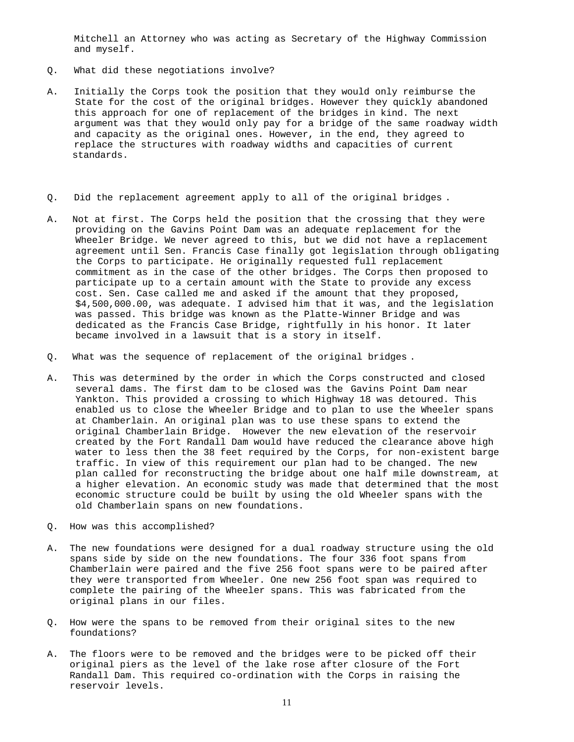Mitchell an Attorney who was acting as Secretary of the Highway Commission and myself.

- Q. What did these negotiations involve?
- A. Initially the Corps took the position that they would only reimburse the State for the cost of the original bridges. However they quickly abandoned this approach for one of replacement of the bridges in kind. The next argument was that they would only pay for a bridge of the same roadway width and capacity as the original ones. However, in the end, they agreed to replace the structures with roadway widths and capacities of current standards.
- Q. Did the replacement agreement apply to all of the original bridges .
- A. Not at first. The Corps held the position that the crossing that they were providing on the Gavins Point Dam was an adequate replacement for the Wheeler Bridge. We never agreed to this, but we did not have a replacement agreement until Sen. Francis Case finally got legislation through obligating the Corps to participate. He originally requested full replacement commitment as in the case of the other bridges. The Corps then proposed to participate up to a certain amount with the State to provide any excess cost. Sen. Case called me and asked if the amount that they proposed, \$4,500,000.00, was adequate. I advised him that it was, and the legislation was passed. This bridge was known as the Platte-Winner Bridge and was dedicated as the Francis Case Bridge, rightfully in his honor. It later became involved in a lawsuit that is a story in itself.
- Q. What was the sequence of replacement of the original bridges .
- A. This was determined by the order in which the Corps constructed and closed several dams. The first dam to be closed was the Gavins Point Dam near Yankton. This provided a crossing to which Highway 18 was detoured. This enabled us to close the Wheeler Bridge and to plan to use the Wheeler spans at Chamberlain. An original plan was to use these spans to extend the original Chamberlain Bridge. However the new elevation of the reservoir created by the Fort Randall Dam would have reduced the clearance above high water to less then the 38 feet required by the Corps, for non-existent barge traffic. In view of this requirement our plan had to be changed. The new plan called for reconstructing the bridge about one half mile downstream, at a higher elevation. An economic study was made that determined that the most economic structure could be built by using the old Wheeler spans with the old Chamberlain spans on new foundations.
- Q. How was this accomplished?
- A. The new foundations were designed for a dual roadway structure using the old spans side by side on the new foundations. The four 336 foot spans from Chamberlain were paired and the five 256 foot spans were to be paired after they were transported from Wheeler. One new 256 foot span was required to complete the pairing of the Wheeler spans. This was fabricated from the original plans in our files.
- Q. How were the spans to be removed from their original sites to the new foundations?
- A. The floors were to be removed and the bridges were to be picked off their original piers as the level of the lake rose after closure of the Fort Randall Dam. This required co-ordination with the Corps in raising the reservoir levels.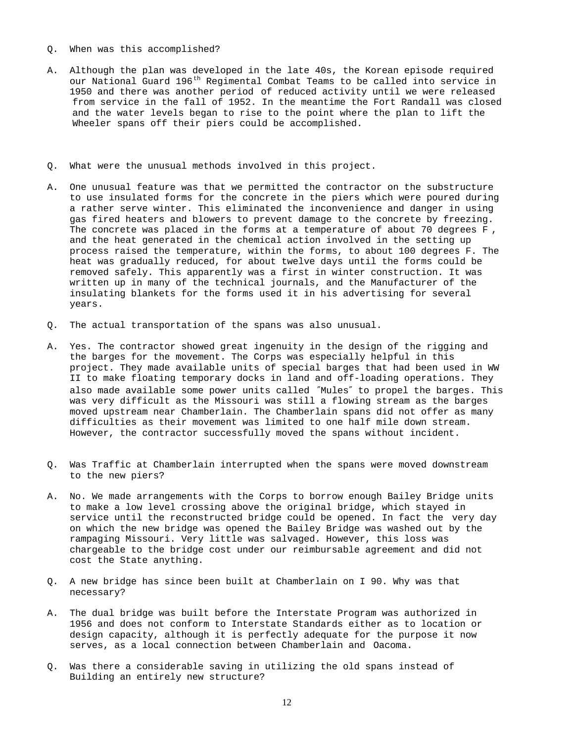- Q. When was this accomplished?
- A. Although the plan was developed in the late 40s, the Korean episode required our National Guard 196<sup>th</sup> Regimental Combat Teams to be called into service in 1950 and there was another period of reduced activity until we were released from service in the fall of 1952. In the meantime the Fort Randall was closed and the water levels began to rise to the point where the plan to lift the Wheeler spans off their piers could be accomplished.
- Q. What were the unusual methods involved in this project.
- A. One unusual feature was that we permitted the contractor on the substructure to use insulated forms for the concrete in the piers which were poured during a rather serve winter. This eliminated the inconvenience and danger in using gas fired heaters and blowers to prevent damage to the concrete by freezing. The concrete was placed in the forms at a temperature of about 70 degrees F , and the heat generated in the chemical action involved in the setting up process raised the temperature, within the forms, to about 100 degrees F. The heat was gradually reduced, for about twelve days until the forms could be removed safely. This apparently was a first in winter construction. It was written up in many of the technical journals, and the Manufacturer of the insulating blankets for the forms used it in his advertising for several years.
- Q. The actual transportation of the spans was also unusual.
- A. Yes. The contractor showed great ingenuity in the design of the rigging and the barges for the movement. The Corps was especially helpful in this project. They made available units of special barges that had been used in WW II to make floating temporary docks in land and off-loading operations. They also made available some power units called ″Mules″ to propel the barges. This was very difficult as the Missouri was still a flowing stream as the barges moved upstream near Chamberlain. The Chamberlain spans did not offer as many difficulties as their movement was limited to one half mile down stream. However, the contractor successfully moved the spans without incident.
- Q. Was Traffic at Chamberlain interrupted when the spans were moved downstream to the new piers?
- A. No. We made arrangements with the Corps to borrow enough Bailey Bridge units to make a low level crossing above the original bridge, which stayed in service until the reconstructed bridge could be opened. In fact the very day on which the new bridge was opened the Bailey Bridge was washed out by the rampaging Missouri. Very little was salvaged. However, this loss was chargeable to the bridge cost under our reimbursable agreement and did not cost the State anything.
- Q. A new bridge has since been built at Chamberlain on I 90. Why was that necessary?
- A. The dual bridge was built before the Interstate Program was authorized in 1956 and does not conform to Interstate Standards either as to location or design capacity, although it is perfectly adequate for the purpose it now serves, as a local connection between Chamberlain and Oacoma.
- Q. Was there a considerable saving in utilizing the old spans instead of Building an entirely new structure?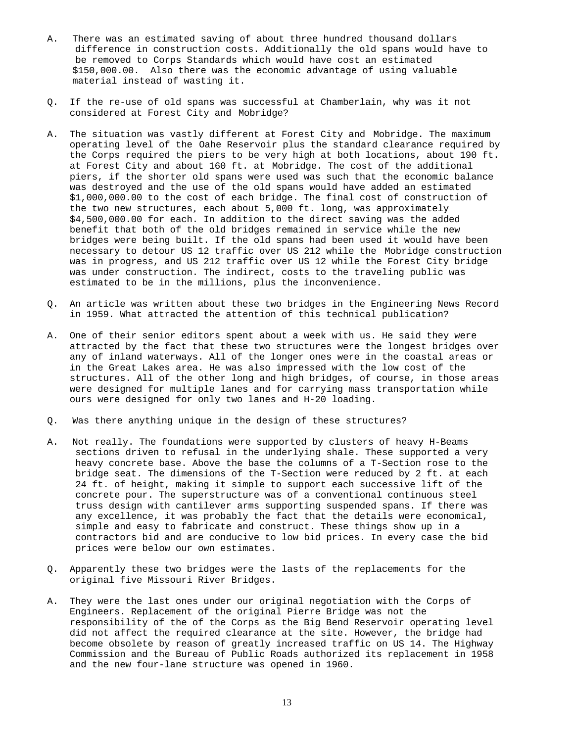- A. There was an estimated saving of about three hundred thousand dollars difference in construction costs. Additionally the old spans would have to be removed to Corps Standards which would have cost an estimated \$150,000.00. Also there was the economic advantage of using valuable material instead of wasting it.
- Q. If the re-use of old spans was successful at Chamberlain, why was it not considered at Forest City and Mobridge?
- A. The situation was vastly different at Forest City and Mobridge. The maximum operating level of the Oahe Reservoir plus the standard clearance required by the Corps required the piers to be very high at both locations, about 190 ft. at Forest City and about 160 ft. at Mobridge. The cost of the additional piers, if the shorter old spans were used was such that the economic balance was destroyed and the use of the old spans would have added an estimated \$1,000,000.00 to the cost of each bridge. The final cost of construction of the two new structures, each about 5,000 ft. long, was approximately \$4,500,000.00 for each. In addition to the direct saving was the added benefit that both of the old bridges remained in service while the new bridges were being built. If the old spans had been used it would have been necessary to detour US 12 traffic over US 212 while the Mobridge construction was in progress, and US 212 traffic over US 12 while the Forest City bridge was under construction. The indirect, costs to the traveling public was estimated to be in the millions, plus the inconvenience.
- Q. An article was written about these two bridges in the Engineering News Record in 1959. What attracted the attention of this technical publication?
- A. One of their senior editors spent about a week with us. He said they were attracted by the fact that these two structures were the longest bridges over any of inland waterways. All of the longer ones were in the coastal areas or in the Great Lakes area. He was also impressed with the low cost of the structures. All of the other long and high bridges, of course, in those areas were designed for multiple lanes and for carrying mass transportation while ours were designed for only two lanes and H-20 loading.
- Q. Was there anything unique in the design of these structures?
- A. Not really. The foundations were supported by clusters of heavy H-Beams sections driven to refusal in the underlying shale. These supported a very heavy concrete base. Above the base the columns of a T-Section rose to the bridge seat. The dimensions of the T-Section were reduced by 2 ft. at each 24 ft. of height, making it simple to support each successive lift of the concrete pour. The superstructure was of a conventional continuous steel truss design with cantilever arms supporting suspended spans. If there was any excellence, it was probably the fact that the details were economical, simple and easy to fabricate and construct. These things show up in a contractors bid and are conducive to low bid prices. In every case the bid prices were below our own estimates.
- Q. Apparently these two bridges were the lasts of the replacements for the original five Missouri River Bridges.
- A. They were the last ones under our original negotiation with the Corps of Engineers. Replacement of the original Pierre Bridge was not the responsibility of the of the Corps as the Big Bend Reservoir operating level did not affect the required clearance at the site. However, the bridge had become obsolete by reason of greatly increased traffic on US 14. The Highway Commission and the Bureau of Public Roads authorized its replacement in 1958 and the new four-lane structure was opened in 1960.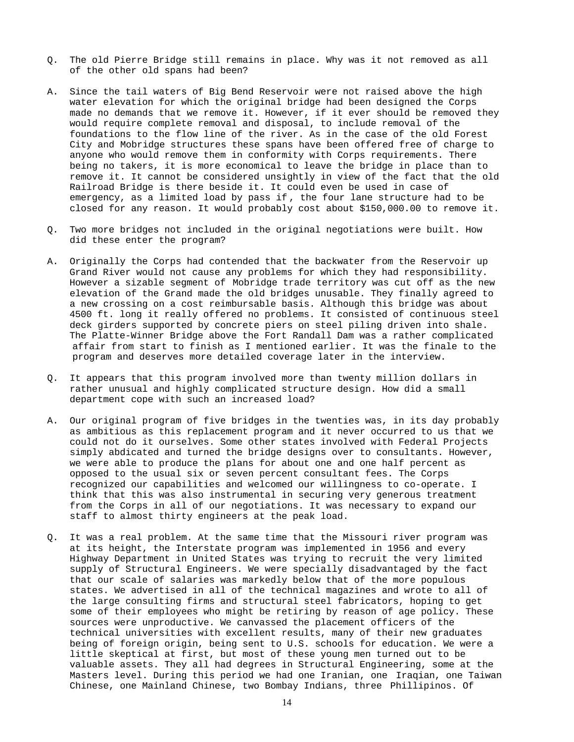- Q. The old Pierre Bridge still remains in place. Why was it not removed as all of the other old spans had been?
- A. Since the tail waters of Big Bend Reservoir were not raised above the high water elevation for which the original bridge had been designed the Corps made no demands that we remove it. However, if it ever should be removed they would require complete removal and disposal, to include removal of the foundations to the flow line of the river. As in the case of the old Forest City and Mobridge structures these spans have been offered free of charge to anyone who would remove them in conformity with Corps requirements. There being no takers, it is more economical to leave the bridge in place than to remove it. It cannot be considered unsightly in view of the fact that the old Railroad Bridge is there beside it. It could even be used in case of emergency, as a limited load by pass if , the four lane structure had to be closed for any reason. It would probably cost about \$150,000.00 to remove it.
- Q. Two more bridges not included in the original negotiations were built. How did these enter the program?
- A. Originally the Corps had contended that the backwater from the Reservoir up Grand River would not cause any problems for which they had responsibility. However a sizable segment of Mobridge trade territory was cut off as the new elevation of the Grand made the old bridges unusable. They finally agreed to a new crossing on a cost reimbursable basis. Although this bridge was about 4500 ft. long it really offered no problems. It consisted of continuous steel deck girders supported by concrete piers on steel piling driven into shale. The Platte-Winner Bridge above the Fort Randall Dam was a rather complicated affair from start to finish as I mentioned earlier. It was the finale to the program and deserves more detailed coverage later in the interview.
- Q. It appears that this program involved more than twenty million dollars in rather unusual and highly complicated structure design. How did a small department cope with such an increased load?
- A. Our original program of five bridges in the twenties was, in its day probably as ambitious as this replacement program and it never occurred to us that we could not do it ourselves. Some other states involved with Federal Projects simply abdicated and turned the bridge designs over to consultants. However, we were able to produce the plans for about one and one half percent as opposed to the usual six or seven percent consultant fees. The Corps recognized our capabilities and welcomed our willingness to co-operate. I think that this was also instrumental in securing very generous treatment from the Corps in all of our negotiations. It was necessary to expand our staff to almost thirty engineers at the peak load.
- Q. It was a real problem. At the same time that the Missouri river program was at its height, the Interstate program was implemented in 1956 and every Highway Department in United States was trying to recruit the very limited supply of Structural Engineers. We were specially disadvantaged by the fact that our scale of salaries was markedly below that of the more populous states. We advertised in all of the technical magazines and wrote to all of the large consulting firms and structural steel fabricators, hoping to get some of their employees who might be retiring by reason of age policy. These sources were unproductive. We canvassed the placement officers of the technical universities with excellent results, many of their new graduates being of foreign origin, being sent to U.S. schools for education. We were a little skeptical at first, but most of these young men turned out to be valuable assets. They all had degrees in Structural Engineering, some at the Masters level. During this period we had one Iranian, one Iraqian, one Taiwan Chinese, one Mainland Chinese, two Bombay Indians, three Phillipinos. Of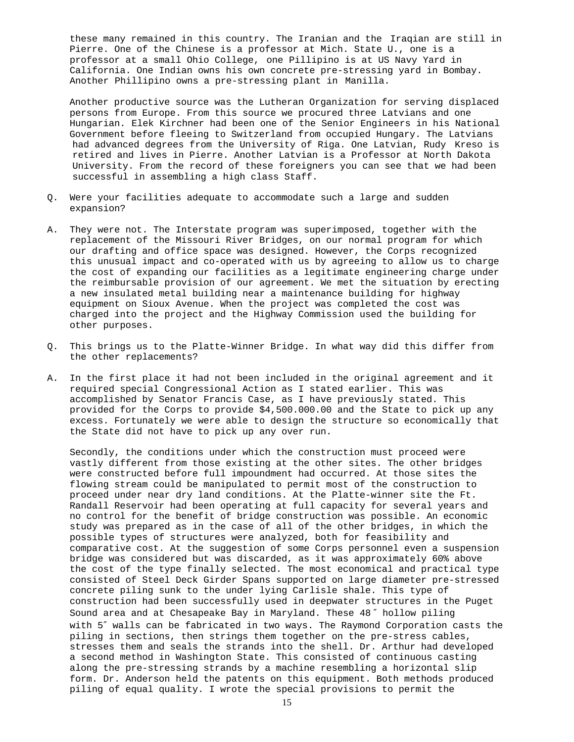these many remained in this country. The Iranian and the Iraqian are still in Pierre. One of the Chinese is a professor at Mich. State U., one is a professor at a small Ohio College, one Pillipino is at US Navy Yard in California. One Indian owns his own concrete pre-stressing yard in Bombay. Another Phillipino owns a pre-stressing plant in Manilla.

 Another productive source was the Lutheran Organization for serving displaced persons from Europe. From this source we procured three Latvians and one Hungarian. Elek Kirchner had been one of the Senior Engineers in his National Government before fleeing to Switzerland from occupied Hungary. The Latvians had advanced degrees from the University of Riga. One Latvian, Rudy Kreso is retired and lives in Pierre. Another Latvian is a Professor at North Dakota University. From the record of these foreigners you can see that we had been successful in assembling a high class Staff.

- Q. Were your facilities adequate to accommodate such a large and sudden expansion?
- A. They were not. The Interstate program was superimposed, together with the replacement of the Missouri River Bridges, on our normal program for which our drafting and office space was designed. However, the Corps recognized this unusual impact and co-operated with us by agreeing to allow us to charge the cost of expanding our facilities as a legitimate engineering charge under the reimbursable provision of our agreement. We met the situation by erecting a new insulated metal building near a maintenance building for highway equipment on Sioux Avenue. When the project was completed the cost was charged into the project and the Highway Commission used the building for other purposes.
- Q. This brings us to the Platte-Winner Bridge. In what way did this differ from the other replacements?
- A. In the first place it had not been included in the original agreement and it required special Congressional Action as I stated earlier. This was accomplished by Senator Francis Case, as I have previously stated. This provided for the Corps to provide \$4,500.000.00 and the State to pick up any excess. Fortunately we were able to design the structure so economically that the State did not have to pick up any over run.

Secondly, the conditions under which the construction must proceed were vastly different from those existing at the other sites. The other bridges were constructed before full impoundment had occurred. At those sites the flowing stream could be manipulated to permit most of the construction to proceed under near dry land conditions. At the Platte-winner site the Ft. Randall Reservoir had been operating at full capacity for several years and no control for the benefit of bridge construction was possible. An economic study was prepared as in the case of all of the other bridges, in which the possible types of structures were analyzed, both for feasibility and comparative cost. At the suggestion of some Corps personnel even a suspension bridge was considered but was discarded, as it was approximately 60% above the cost of the type finally selected. The most economical and practical type consisted of Steel Deck Girder Spans supported on large diameter pre-stressed concrete piling sunk to the under lying Carlisle shale. This type of construction had been successfully used in deepwater structures in the Puget Sound area and at Chesapeake Bay in Maryland. These 48 ″ hollow piling with 5″ walls can be fabricated in two ways. The Raymond Corporation casts the piling in sections, then strings them together on the pre-stress cables, stresses them and seals the strands into the shell. Dr. Arthur had developed a second method in Washington State. This consisted of continuous casting along the pre-stressing strands by a machine resembling a horizontal slip form. Dr. Anderson held the patents on this equipment. Both methods produced piling of equal quality. I wrote the special provisions to permit the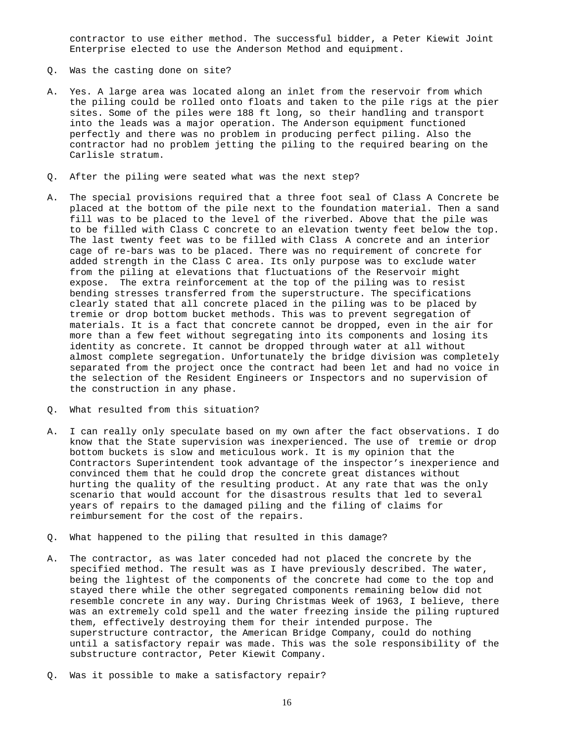contractor to use either method. The successful bidder, a Peter Kiewit Joint Enterprise elected to use the Anderson Method and equipment.

- Q. Was the casting done on site?
- A. Yes. A large area was located along an inlet from the reservoir from which the piling could be rolled onto floats and taken to the pile rigs at the pier sites. Some of the piles were 188 ft long, so their handling and transport into the leads was a major operation. The Anderson equipment functioned perfectly and there was no problem in producing perfect piling. Also the contractor had no problem jetting the piling to the required bearing on the Carlisle stratum.
- Q. After the piling were seated what was the next step?
- A. The special provisions required that a three foot seal of Class A Concrete be placed at the bottom of the pile next to the foundation material. Then a sand fill was to be placed to the level of the riverbed. Above that the pile was to be filled with Class C concrete to an elevation twenty feet below the top. The last twenty feet was to be filled with Class A concrete and an interior cage of re-bars was to be placed. There was no requirement of concrete for added strength in the Class C area. Its only purpose was to exclude water from the piling at elevations that fluctuations of the Reservoir might expose. The extra reinforcement at the top of the piling was to resist bending stresses transferred from the superstructure. The specifications clearly stated that all concrete placed in the piling was to be placed by tremie or drop bottom bucket methods. This was to prevent segregation of materials. It is a fact that concrete cannot be dropped, even in the air for more than a few feet without segregating into its components and losing its identity as concrete. It cannot be dropped through water at all without almost complete segregation. Unfortunately the bridge division was completely separated from the project once the contract had been let and had no voice in the selection of the Resident Engineers or Inspectors and no supervision of the construction in any phase.
- Q. What resulted from this situation?
- A. I can really only speculate based on my own after the fact observations. I do know that the State supervision was inexperienced. The use of tremie or drop bottom buckets is slow and meticulous work. It is my opinion that the Contractors Superintendent took advantage of the inspector's inexperience and convinced them that he could drop the concrete great distances without hurting the quality of the resulting product. At any rate that was the only scenario that would account for the disastrous results that led to several years of repairs to the damaged piling and the filing of claims for reimbursement for the cost of the repairs.
- Q. What happened to the piling that resulted in this damage?
- A. The contractor, as was later conceded had not placed the concrete by the specified method. The result was as I have previously described. The water, being the lightest of the components of the concrete had come to the top and stayed there while the other segregated components remaining below did not resemble concrete in any way. During Christmas Week of 1963, I believe, there was an extremely cold spell and the water freezing inside the piling ruptured them, effectively destroying them for their intended purpose. The superstructure contractor, the American Bridge Company, could do nothing until a satisfactory repair was made. This was the sole responsibility of the substructure contractor, Peter Kiewit Company.
- Q. Was it possible to make a satisfactory repair?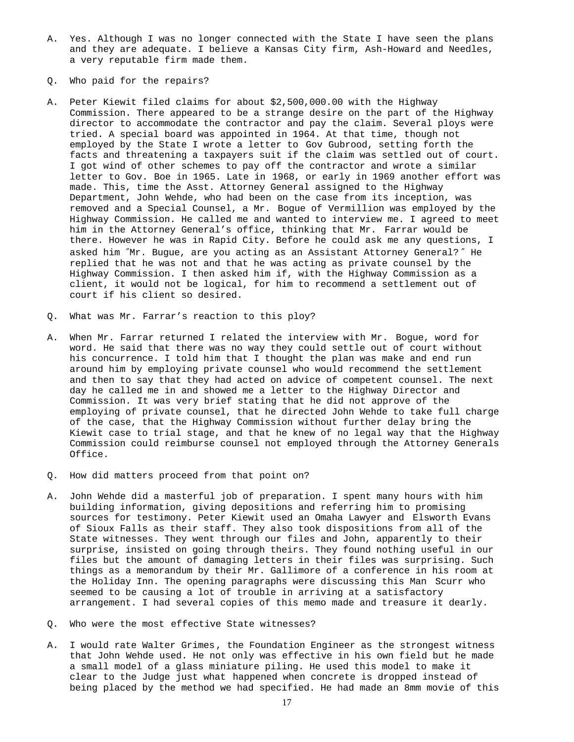- A. Yes. Although I was no longer connected with the State I have seen the plans and they are adequate. I believe a Kansas City firm, Ash-Howard and Needles, a very reputable firm made them.
- Q. Who paid for the repairs?
- A. Peter Kiewit filed claims for about \$2,500,000.00 with the Highway Commission. There appeared to be a strange desire on the part of the Highway director to accommodate the contractor and pay the claim. Several ploys were tried. A special board was appointed in 1964. At that time, though not employed by the State I wrote a letter to Gov Gubrood, setting forth the facts and threatening a taxpayers suit if the claim was settled out of court. I got wind of other schemes to pay off the contractor and wrote a similar letter to Gov. Boe in 1965. Late in 1968, or early in 1969 another effort was made. This, time the Asst. Attorney General assigned to the Highway Department, John Wehde, who had been on the case from its inception, was removed and a Special Counsel, a Mr. Bogue of Vermillion was employed by the Highway Commission. He called me and wanted to interview me. I agreed to meet him in the Attorney General's office, thinking that Mr. Farrar would be there. However he was in Rapid City. Before he could ask me any questions, I asked him ″Mr. Bugue, are you acting as an Assistant Attorney General? ″ He replied that he was not and that he was acting as private counsel by the Highway Commission. I then asked him if, with the Highway Commission as a client, it would not be logical, for him to recommend a settlement out of court if his client so desired.
- Q. What was Mr. Farrar's reaction to this ploy?
- A. When Mr. Farrar returned I related the interview with Mr. Bogue, word for word. He said that there was no way they could settle out of court without his concurrence. I told him that I thought the plan was make and end run around him by employing private counsel who would recommend the settlement and then to say that they had acted on advice of competent counsel. The next day he called me in and showed me a letter to the Highway Director and Commission. It was very brief stating that he did not approve of the employing of private counsel, that he directed John Wehde to take full charge of the case, that the Highway Commission without further delay bring the Kiewit case to trial stage, and that he knew of no legal way that the Highway Commission could reimburse counsel not employed through the Attorney Generals Office.
- Q. How did matters proceed from that point on?
- A. John Wehde did a masterful job of preparation. I spent many hours with him building information, giving depositions and referring him to promising sources for testimony. Peter Kiewit used an Omaha Lawyer and Elsworth Evans of Sioux Falls as their staff. They also took dispositions from all of the State witnesses. They went through our files and John, apparently to their surprise, insisted on going through theirs. They found nothing useful in our files but the amount of damaging letters in their files was surprising. Such things as a memorandum by their Mr. Gallimore of a conference in his room at the Holiday Inn. The opening paragraphs were discussing this Man Scurr who seemed to be causing a lot of trouble in arriving at a satisfactory arrangement. I had several copies of this memo made and treasure it dearly.
- Q. Who were the most effective State witnesses?
- A. I would rate Walter Grimes, the Foundation Engineer as the strongest witness that John Wehde used. He not only was effective in his own field but he made a small model of a glass miniature piling. He used this model to make it clear to the Judge just what happened when concrete is dropped instead of being placed by the method we had specified. He had made an 8mm movie of this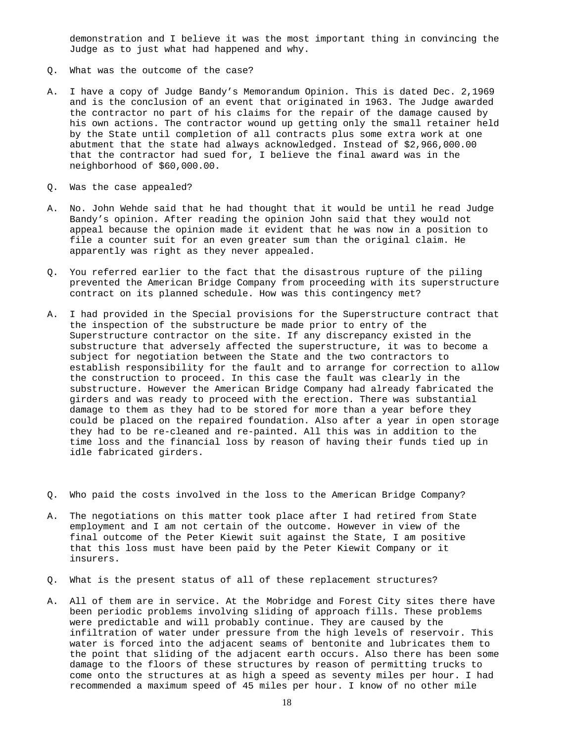demonstration and I believe it was the most important thing in convincing the Judge as to just what had happened and why.

- Q. What was the outcome of the case?
- A. I have a copy of Judge Bandy's Memorandum Opinion. This is dated Dec. 2,1969 and is the conclusion of an event that originated in 1963. The Judge awarded the contractor no part of his claims for the repair of the damage caused by his own actions. The contractor wound up getting only the small retainer held by the State until completion of all contracts plus some extra work at one abutment that the state had always acknowledged. Instead of \$2,966,000.00 that the contractor had sued for, I believe the final award was in the neighborhood of \$60,000.00.
- Q. Was the case appealed?
- A. No. John Wehde said that he had thought that it would be until he read Judge Bandy's opinion. After reading the opinion John said that they would not appeal because the opinion made it evident that he was now in a position to file a counter suit for an even greater sum than the original claim. He apparently was right as they never appealed.
- Q. You referred earlier to the fact that the disastrous rupture of the piling prevented the American Bridge Company from proceeding with its superstructure contract on its planned schedule. How was this contingency met?
- A. I had provided in the Special provisions for the Superstructure contract that the inspection of the substructure be made prior to entry of the Superstructure contractor on the site. If any discrepancy existed in the substructure that adversely affected the superstructure, it was to become a subject for negotiation between the State and the two contractors to establish responsibility for the fault and to arrange for correction to allow the construction to proceed. In this case the fault was clearly in the substructure. However the American Bridge Company had already fabricated the girders and was ready to proceed with the erection. There was substantial damage to them as they had to be stored for more than a year before they could be placed on the repaired foundation. Also after a year in open storage they had to be re-cleaned and re-painted. All this was in addition to the time loss and the financial loss by reason of having their funds tied up in idle fabricated girders.
- Q. Who paid the costs involved in the loss to the American Bridge Company?
- A. The negotiations on this matter took place after I had retired from State employment and I am not certain of the outcome. However in view of the final outcome of the Peter Kiewit suit against the State, I am positive that this loss must have been paid by the Peter Kiewit Company or it insurers.
- Q. What is the present status of all of these replacement structures?
- A. All of them are in service. At the Mobridge and Forest City sites there have been periodic problems involving sliding of approach fills. These problems were predictable and will probably continue. They are caused by the infiltration of water under pressure from the high levels of reservoir. This water is forced into the adjacent seams of bentonite and lubricates them to the point that sliding of the adjacent earth occurs. Also there has been some damage to the floors of these structures by reason of permitting trucks to come onto the structures at as high a speed as seventy miles per hour. I had recommended a maximum speed of 45 miles per hour. I know of no other mile